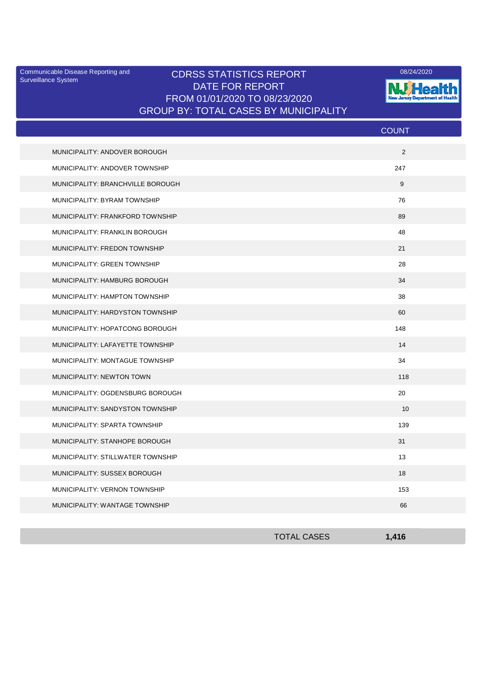Surveillance System

## Communicable Disease Reporting and CDRSS STATISTICS REPORT 2008/24/2020 DATE FOR REPORT FROM 01/01/2020 TO 08/23/2020 GROUP BY: TOTAL CASES BY MUNICIPALITY



|                                   | <b>COUNT</b> |
|-----------------------------------|--------------|
| MUNICIPALITY: ANDOVER BOROUGH     | 2            |
| MUNICIPALITY: ANDOVER TOWNSHIP    | 247          |
| MUNICIPALITY: BRANCHVILLE BOROUGH | 9            |
| MUNICIPALITY: BYRAM TOWNSHIP      | 76           |
| MUNICIPALITY: FRANKFORD TOWNSHIP  | 89           |
| MUNICIPALITY: FRANKLIN BOROUGH    | 48           |
| MUNICIPALITY: FREDON TOWNSHIP     | 21           |
| MUNICIPALITY: GREEN TOWNSHIP      | 28           |
| MUNICIPALITY: HAMBURG BOROUGH     | 34           |
| MUNICIPALITY: HAMPTON TOWNSHIP    | 38           |
| MUNICIPALITY: HARDYSTON TOWNSHIP  | 60           |
| MUNICIPALITY: HOPATCONG BOROUGH   | 148          |
| MUNICIPALITY: LAFAYETTE TOWNSHIP  | 14           |
| MUNICIPALITY: MONTAGUE TOWNSHIP   | 34           |
| MUNICIPALITY: NEWTON TOWN         | 118          |
| MUNICIPALITY: OGDENSBURG BOROUGH  | 20           |
| MUNICIPALITY: SANDYSTON TOWNSHIP  | 10           |
| MUNICIPALITY: SPARTA TOWNSHIP     | 139          |
| MUNICIPALITY: STANHOPE BOROUGH    | 31           |
| MUNICIPALITY: STILLWATER TOWNSHIP | 13           |
| MUNICIPALITY: SUSSEX BOROUGH      | 18           |
| MUNICIPALITY: VERNON TOWNSHIP     | 153          |
| MUNICIPALITY: WANTAGE TOWNSHIP    | 66           |

| <b>TOTAL CASES</b> | 1,416 |
|--------------------|-------|
|                    |       |